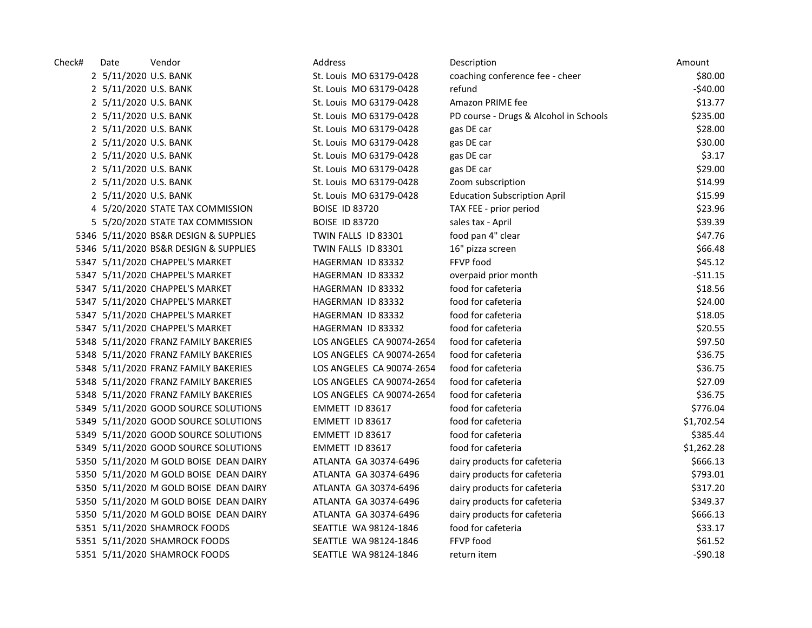| Check# | Date                  | Vendor                                 | Address                   | Description                            | Amount     |
|--------|-----------------------|----------------------------------------|---------------------------|----------------------------------------|------------|
|        | 2 5/11/2020 U.S. BANK |                                        | St. Louis MO 63179-0428   | coaching conference fee - cheer        | \$80.00    |
|        | 2 5/11/2020 U.S. BANK |                                        | St. Louis MO 63179-0428   | refund                                 | $-540.00$  |
|        | 2 5/11/2020 U.S. BANK |                                        | St. Louis MO 63179-0428   | Amazon PRIME fee                       | \$13.77    |
|        | 2 5/11/2020 U.S. BANK |                                        | St. Louis MO 63179-0428   | PD course - Drugs & Alcohol in Schools | \$235.00   |
|        | 2 5/11/2020 U.S. BANK |                                        | St. Louis MO 63179-0428   | gas DE car                             | \$28.00    |
|        | 2 5/11/2020 U.S. BANK |                                        | St. Louis MO 63179-0428   | gas DE car                             | \$30.00    |
|        | 2 5/11/2020 U.S. BANK |                                        | St. Louis MO 63179-0428   | gas DE car                             | \$3.17     |
|        | 2 5/11/2020 U.S. BANK |                                        | St. Louis MO 63179-0428   | gas DE car                             | \$29.00    |
|        | 2 5/11/2020 U.S. BANK |                                        | St. Louis MO 63179-0428   | Zoom subscription                      | \$14.99    |
|        | 2 5/11/2020 U.S. BANK |                                        | St. Louis MO 63179-0428   | <b>Education Subscription April</b>    | \$15.99    |
|        |                       | 4 5/20/2020 STATE TAX COMMISSION       | <b>BOISE ID 83720</b>     | TAX FEE - prior period                 | \$23.96    |
|        |                       | 5 5/20/2020 STATE TAX COMMISSION       | <b>BOISE ID 83720</b>     | sales tax - April                      | \$39.39    |
|        |                       | 5346 5/11/2020 BS&R DESIGN & SUPPLIES  | TWIN FALLS ID 83301       | food pan 4" clear                      | \$47.76    |
|        |                       | 5346 5/11/2020 BS&R DESIGN & SUPPLIES  | TWIN FALLS ID 83301       | 16" pizza screen                       | \$66.48    |
|        |                       | 5347 5/11/2020 CHAPPEL'S MARKET        | HAGERMAN ID 83332         | FFVP food                              | \$45.12    |
|        |                       | 5347 5/11/2020 CHAPPEL'S MARKET        | HAGERMAN ID 83332         | overpaid prior month                   | $-511.15$  |
|        |                       | 5347 5/11/2020 CHAPPEL'S MARKET        | HAGERMAN ID 83332         | food for cafeteria                     | \$18.56    |
|        |                       | 5347 5/11/2020 CHAPPEL'S MARKET        | HAGERMAN ID 83332         | food for cafeteria                     | \$24.00    |
|        |                       | 5347 5/11/2020 CHAPPEL'S MARKET        | HAGERMAN ID 83332         | food for cafeteria                     | \$18.05    |
|        |                       | 5347 5/11/2020 CHAPPEL'S MARKET        | HAGERMAN ID 83332         | food for cafeteria                     | \$20.55    |
|        |                       | 5348 5/11/2020 FRANZ FAMILY BAKERIES   | LOS ANGELES CA 90074-2654 | food for cafeteria                     | \$97.50    |
|        |                       | 5348 5/11/2020 FRANZ FAMILY BAKERIES   | LOS ANGELES CA 90074-2654 | food for cafeteria                     | \$36.75    |
|        |                       | 5348 5/11/2020 FRANZ FAMILY BAKERIES   | LOS ANGELES CA 90074-2654 | food for cafeteria                     | \$36.75    |
|        |                       | 5348 5/11/2020 FRANZ FAMILY BAKERIES   | LOS ANGELES CA 90074-2654 | food for cafeteria                     | \$27.09    |
|        |                       | 5348 5/11/2020 FRANZ FAMILY BAKERIES   | LOS ANGELES CA 90074-2654 | food for cafeteria                     | \$36.75    |
|        |                       | 5349 5/11/2020 GOOD SOURCE SOLUTIONS   | EMMETT ID 83617           | food for cafeteria                     | \$776.04   |
|        |                       | 5349 5/11/2020 GOOD SOURCE SOLUTIONS   | EMMETT ID 83617           | food for cafeteria                     | \$1,702.54 |
|        |                       | 5349 5/11/2020 GOOD SOURCE SOLUTIONS   | EMMETT ID 83617           | food for cafeteria                     | \$385.44   |
|        |                       | 5349 5/11/2020 GOOD SOURCE SOLUTIONS   | EMMETT ID 83617           | food for cafeteria                     | \$1,262.28 |
|        |                       | 5350 5/11/2020 M GOLD BOISE DEAN DAIRY | ATLANTA GA 30374-6496     | dairy products for cafeteria           | \$666.13   |
|        |                       | 5350 5/11/2020 M GOLD BOISE DEAN DAIRY | ATLANTA GA 30374-6496     | dairy products for cafeteria           | \$793.01   |
|        |                       | 5350 5/11/2020 M GOLD BOISE DEAN DAIRY | ATLANTA GA 30374-6496     | dairy products for cafeteria           | \$317.20   |
|        |                       | 5350 5/11/2020 M GOLD BOISE DEAN DAIRY | ATLANTA GA 30374-6496     | dairy products for cafeteria           | \$349.37   |
|        |                       | 5350 5/11/2020 M GOLD BOISE DEAN DAIRY | ATLANTA GA 30374-6496     | dairy products for cafeteria           | \$666.13   |
|        |                       | 5351 5/11/2020 SHAMROCK FOODS          | SEATTLE WA 98124-1846     | food for cafeteria                     | \$33.17    |
|        |                       | 5351 5/11/2020 SHAMROCK FOODS          | SEATTLE WA 98124-1846     | FFVP food                              | \$61.52    |
|        |                       | 5351 5/11/2020 SHAMROCK FOODS          | SEATTLE WA 98124-1846     | return item                            | $-590.18$  |
|        |                       |                                        |                           |                                        |            |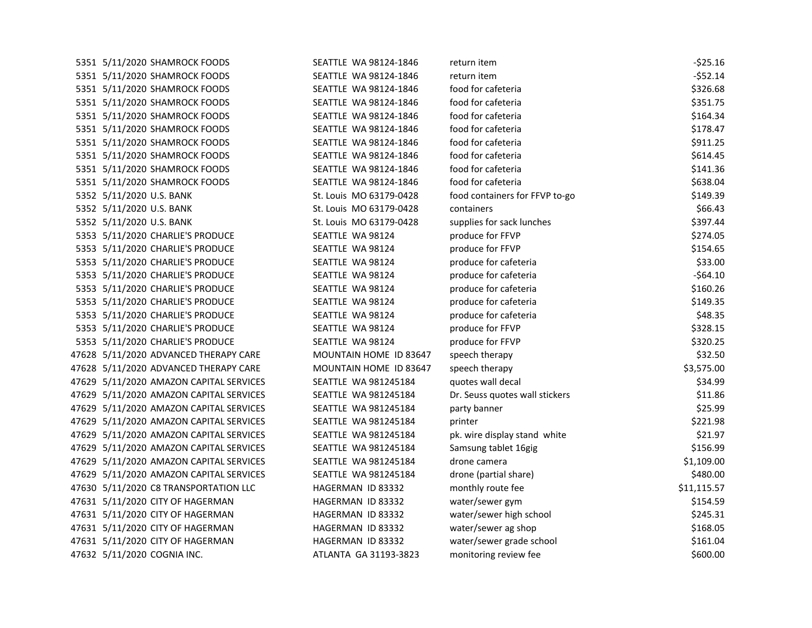| SEATTLE WA 98124-1846                                                                                                                                                                                                                                                                                                                                                                                                                                                                                                                                                                                                                                                                                                                                                                                                                                                                                                                                                                                                                                                                                                                                                                                                                                                                                                                                                                                                            | return item                    | $-525.16$   |
|----------------------------------------------------------------------------------------------------------------------------------------------------------------------------------------------------------------------------------------------------------------------------------------------------------------------------------------------------------------------------------------------------------------------------------------------------------------------------------------------------------------------------------------------------------------------------------------------------------------------------------------------------------------------------------------------------------------------------------------------------------------------------------------------------------------------------------------------------------------------------------------------------------------------------------------------------------------------------------------------------------------------------------------------------------------------------------------------------------------------------------------------------------------------------------------------------------------------------------------------------------------------------------------------------------------------------------------------------------------------------------------------------------------------------------|--------------------------------|-------------|
| SEATTLE WA 98124-1846                                                                                                                                                                                                                                                                                                                                                                                                                                                                                                                                                                                                                                                                                                                                                                                                                                                                                                                                                                                                                                                                                                                                                                                                                                                                                                                                                                                                            | return item                    | $-552.14$   |
| SEATTLE WA 98124-1846                                                                                                                                                                                                                                                                                                                                                                                                                                                                                                                                                                                                                                                                                                                                                                                                                                                                                                                                                                                                                                                                                                                                                                                                                                                                                                                                                                                                            | food for cafeteria             | \$326.68    |
| SEATTLE WA 98124-1846                                                                                                                                                                                                                                                                                                                                                                                                                                                                                                                                                                                                                                                                                                                                                                                                                                                                                                                                                                                                                                                                                                                                                                                                                                                                                                                                                                                                            | food for cafeteria             | \$351.75    |
| SEATTLE WA 98124-1846                                                                                                                                                                                                                                                                                                                                                                                                                                                                                                                                                                                                                                                                                                                                                                                                                                                                                                                                                                                                                                                                                                                                                                                                                                                                                                                                                                                                            | food for cafeteria             | \$164.34    |
| SEATTLE WA 98124-1846                                                                                                                                                                                                                                                                                                                                                                                                                                                                                                                                                                                                                                                                                                                                                                                                                                                                                                                                                                                                                                                                                                                                                                                                                                                                                                                                                                                                            | food for cafeteria             | \$178.47    |
| SEATTLE WA 98124-1846                                                                                                                                                                                                                                                                                                                                                                                                                                                                                                                                                                                                                                                                                                                                                                                                                                                                                                                                                                                                                                                                                                                                                                                                                                                                                                                                                                                                            | food for cafeteria             | \$911.25    |
| SEATTLE WA 98124-1846                                                                                                                                                                                                                                                                                                                                                                                                                                                                                                                                                                                                                                                                                                                                                                                                                                                                                                                                                                                                                                                                                                                                                                                                                                                                                                                                                                                                            | food for cafeteria             | \$614.45    |
| SEATTLE WA 98124-1846                                                                                                                                                                                                                                                                                                                                                                                                                                                                                                                                                                                                                                                                                                                                                                                                                                                                                                                                                                                                                                                                                                                                                                                                                                                                                                                                                                                                            | food for cafeteria             | \$141.36    |
| SEATTLE WA 98124-1846                                                                                                                                                                                                                                                                                                                                                                                                                                                                                                                                                                                                                                                                                                                                                                                                                                                                                                                                                                                                                                                                                                                                                                                                                                                                                                                                                                                                            | food for cafeteria             | \$638.04    |
| St. Louis MO 63179-0428                                                                                                                                                                                                                                                                                                                                                                                                                                                                                                                                                                                                                                                                                                                                                                                                                                                                                                                                                                                                                                                                                                                                                                                                                                                                                                                                                                                                          | food containers for FFVP to-go | \$149.39    |
| St. Louis MO 63179-0428                                                                                                                                                                                                                                                                                                                                                                                                                                                                                                                                                                                                                                                                                                                                                                                                                                                                                                                                                                                                                                                                                                                                                                                                                                                                                                                                                                                                          | containers                     | \$66.43     |
| St. Louis MO 63179-0428                                                                                                                                                                                                                                                                                                                                                                                                                                                                                                                                                                                                                                                                                                                                                                                                                                                                                                                                                                                                                                                                                                                                                                                                                                                                                                                                                                                                          | supplies for sack lunches      | \$397.44    |
| SEATTLE WA 98124                                                                                                                                                                                                                                                                                                                                                                                                                                                                                                                                                                                                                                                                                                                                                                                                                                                                                                                                                                                                                                                                                                                                                                                                                                                                                                                                                                                                                 | produce for FFVP               | \$274.05    |
| SEATTLE WA 98124                                                                                                                                                                                                                                                                                                                                                                                                                                                                                                                                                                                                                                                                                                                                                                                                                                                                                                                                                                                                                                                                                                                                                                                                                                                                                                                                                                                                                 | produce for FFVP               | \$154.65    |
| SEATTLE WA 98124                                                                                                                                                                                                                                                                                                                                                                                                                                                                                                                                                                                                                                                                                                                                                                                                                                                                                                                                                                                                                                                                                                                                                                                                                                                                                                                                                                                                                 | produce for cafeteria          | \$33.00     |
| SEATTLE WA 98124                                                                                                                                                                                                                                                                                                                                                                                                                                                                                                                                                                                                                                                                                                                                                                                                                                                                                                                                                                                                                                                                                                                                                                                                                                                                                                                                                                                                                 | produce for cafeteria          | $-564.10$   |
| SEATTLE WA 98124                                                                                                                                                                                                                                                                                                                                                                                                                                                                                                                                                                                                                                                                                                                                                                                                                                                                                                                                                                                                                                                                                                                                                                                                                                                                                                                                                                                                                 | produce for cafeteria          | \$160.26    |
| SEATTLE WA 98124                                                                                                                                                                                                                                                                                                                                                                                                                                                                                                                                                                                                                                                                                                                                                                                                                                                                                                                                                                                                                                                                                                                                                                                                                                                                                                                                                                                                                 | produce for cafeteria          | \$149.35    |
| SEATTLE WA 98124                                                                                                                                                                                                                                                                                                                                                                                                                                                                                                                                                                                                                                                                                                                                                                                                                                                                                                                                                                                                                                                                                                                                                                                                                                                                                                                                                                                                                 | produce for cafeteria          | \$48.35     |
| SEATTLE WA 98124                                                                                                                                                                                                                                                                                                                                                                                                                                                                                                                                                                                                                                                                                                                                                                                                                                                                                                                                                                                                                                                                                                                                                                                                                                                                                                                                                                                                                 | produce for FFVP               | \$328.15    |
| SEATTLE WA 98124                                                                                                                                                                                                                                                                                                                                                                                                                                                                                                                                                                                                                                                                                                                                                                                                                                                                                                                                                                                                                                                                                                                                                                                                                                                                                                                                                                                                                 | produce for FFVP               | \$320.25    |
| MOUNTAIN HOME ID 83647                                                                                                                                                                                                                                                                                                                                                                                                                                                                                                                                                                                                                                                                                                                                                                                                                                                                                                                                                                                                                                                                                                                                                                                                                                                                                                                                                                                                           | speech therapy                 | \$32.50     |
| MOUNTAIN HOME ID 83647                                                                                                                                                                                                                                                                                                                                                                                                                                                                                                                                                                                                                                                                                                                                                                                                                                                                                                                                                                                                                                                                                                                                                                                                                                                                                                                                                                                                           | speech therapy                 | \$3,575.00  |
| SEATTLE WA 981245184                                                                                                                                                                                                                                                                                                                                                                                                                                                                                                                                                                                                                                                                                                                                                                                                                                                                                                                                                                                                                                                                                                                                                                                                                                                                                                                                                                                                             | quotes wall decal              | \$34.99     |
| SEATTLE WA 981245184                                                                                                                                                                                                                                                                                                                                                                                                                                                                                                                                                                                                                                                                                                                                                                                                                                                                                                                                                                                                                                                                                                                                                                                                                                                                                                                                                                                                             | Dr. Seuss quotes wall stickers | \$11.86     |
| SEATTLE WA 981245184                                                                                                                                                                                                                                                                                                                                                                                                                                                                                                                                                                                                                                                                                                                                                                                                                                                                                                                                                                                                                                                                                                                                                                                                                                                                                                                                                                                                             | party banner                   | \$25.99     |
| SEATTLE WA 981245184                                                                                                                                                                                                                                                                                                                                                                                                                                                                                                                                                                                                                                                                                                                                                                                                                                                                                                                                                                                                                                                                                                                                                                                                                                                                                                                                                                                                             | printer                        | \$221.98    |
| SEATTLE WA 981245184                                                                                                                                                                                                                                                                                                                                                                                                                                                                                                                                                                                                                                                                                                                                                                                                                                                                                                                                                                                                                                                                                                                                                                                                                                                                                                                                                                                                             | pk. wire display stand white   | \$21.97     |
| SEATTLE WA 981245184                                                                                                                                                                                                                                                                                                                                                                                                                                                                                                                                                                                                                                                                                                                                                                                                                                                                                                                                                                                                                                                                                                                                                                                                                                                                                                                                                                                                             | Samsung tablet 16gig           | \$156.99    |
| SEATTLE WA 981245184                                                                                                                                                                                                                                                                                                                                                                                                                                                                                                                                                                                                                                                                                                                                                                                                                                                                                                                                                                                                                                                                                                                                                                                                                                                                                                                                                                                                             | drone camera                   | \$1,109.00  |
| SEATTLE WA 981245184                                                                                                                                                                                                                                                                                                                                                                                                                                                                                                                                                                                                                                                                                                                                                                                                                                                                                                                                                                                                                                                                                                                                                                                                                                                                                                                                                                                                             | drone (partial share)          | \$480.00    |
| HAGERMAN ID 83332                                                                                                                                                                                                                                                                                                                                                                                                                                                                                                                                                                                                                                                                                                                                                                                                                                                                                                                                                                                                                                                                                                                                                                                                                                                                                                                                                                                                                | monthly route fee              | \$11,115.57 |
| HAGERMAN ID 83332                                                                                                                                                                                                                                                                                                                                                                                                                                                                                                                                                                                                                                                                                                                                                                                                                                                                                                                                                                                                                                                                                                                                                                                                                                                                                                                                                                                                                | water/sewer gym                | \$154.59    |
| HAGERMAN ID 83332                                                                                                                                                                                                                                                                                                                                                                                                                                                                                                                                                                                                                                                                                                                                                                                                                                                                                                                                                                                                                                                                                                                                                                                                                                                                                                                                                                                                                | water/sewer high school        | \$245.31    |
| HAGERMAN ID 83332                                                                                                                                                                                                                                                                                                                                                                                                                                                                                                                                                                                                                                                                                                                                                                                                                                                                                                                                                                                                                                                                                                                                                                                                                                                                                                                                                                                                                | water/sewer ag shop            | \$168.05    |
| HAGERMAN ID 83332                                                                                                                                                                                                                                                                                                                                                                                                                                                                                                                                                                                                                                                                                                                                                                                                                                                                                                                                                                                                                                                                                                                                                                                                                                                                                                                                                                                                                | water/sewer grade school       | \$161.04    |
| ATLANTA GA 31193-3823                                                                                                                                                                                                                                                                                                                                                                                                                                                                                                                                                                                                                                                                                                                                                                                                                                                                                                                                                                                                                                                                                                                                                                                                                                                                                                                                                                                                            | monitoring review fee          | \$600.00    |
| 5351 5/11/2020 SHAMROCK FOODS<br>5351 5/11/2020 SHAMROCK FOODS<br>5351 5/11/2020 SHAMROCK FOODS<br>5351 5/11/2020 SHAMROCK FOODS<br>5351 5/11/2020 SHAMROCK FOODS<br>5351 5/11/2020 SHAMROCK FOODS<br>5351 5/11/2020 SHAMROCK FOODS<br>5351 5/11/2020 SHAMROCK FOODS<br>5351 5/11/2020 SHAMROCK FOODS<br>5351 5/11/2020 SHAMROCK FOODS<br>5352 5/11/2020 U.S. BANK<br>5352 5/11/2020 U.S. BANK<br>5352 5/11/2020 U.S. BANK<br>5353 5/11/2020 CHARLIE'S PRODUCE<br>5353 5/11/2020 CHARLIE'S PRODUCE<br>5353 5/11/2020 CHARLIE'S PRODUCE<br>5353 5/11/2020 CHARLIE'S PRODUCE<br>5353 5/11/2020 CHARLIE'S PRODUCE<br>5353 5/11/2020 CHARLIE'S PRODUCE<br>5353 5/11/2020 CHARLIE'S PRODUCE<br>5353 5/11/2020 CHARLIE'S PRODUCE<br>5353 5/11/2020 CHARLIE'S PRODUCE<br>47628 5/11/2020 ADVANCED THERAPY CARE<br>47628 5/11/2020 ADVANCED THERAPY CARE<br>47629 5/11/2020 AMAZON CAPITAL SERVICES<br>47629 5/11/2020 AMAZON CAPITAL SERVICES<br>47629 5/11/2020 AMAZON CAPITAL SERVICES<br>47629 5/11/2020 AMAZON CAPITAL SERVICES<br>47629 5/11/2020 AMAZON CAPITAL SERVICES<br>47629 5/11/2020 AMAZON CAPITAL SERVICES<br>47629 5/11/2020 AMAZON CAPITAL SERVICES<br>47629 5/11/2020 AMAZON CAPITAL SERVICES<br>47630 5/11/2020 C8 TRANSPORTATION LLC<br>47631 5/11/2020 CITY OF HAGERMAN<br>47631 5/11/2020 CITY OF HAGERMAN<br>47631 5/11/2020 CITY OF HAGERMAN<br>47631 5/11/2020 CITY OF HAGERMAN<br>47632 5/11/2020 COGNIA INC. |                                |             |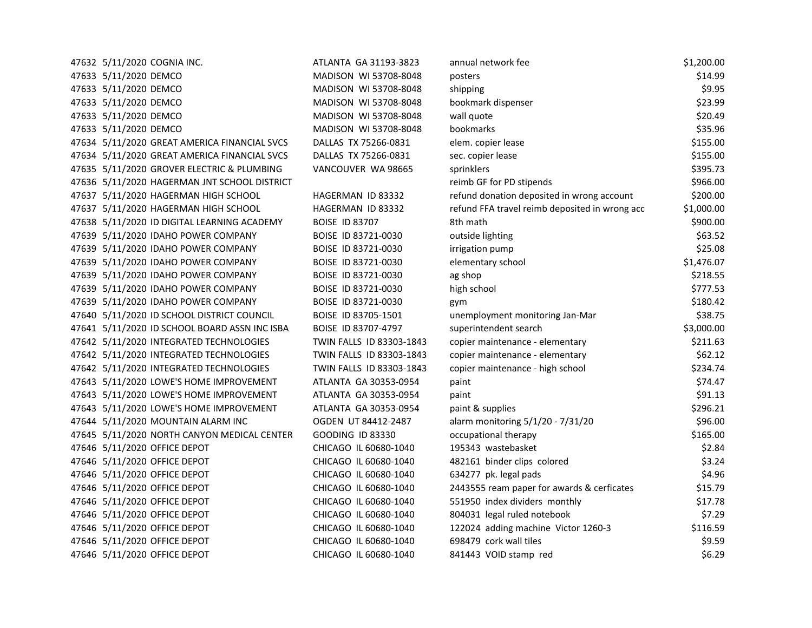| 47632 5/11/2020 COGNIA INC.  |                                               | ATLANTA GA 31193-3823    | annual network fee                             | \$1,200.00 |
|------------------------------|-----------------------------------------------|--------------------------|------------------------------------------------|------------|
| 47633 5/11/2020 DEMCO        |                                               | MADISON WI 53708-8048    | posters                                        | \$14.99    |
| 47633 5/11/2020 DEMCO        |                                               | MADISON WI 53708-8048    | shipping                                       | \$9.95     |
| 47633 5/11/2020 DEMCO        |                                               | MADISON WI 53708-8048    | bookmark dispenser                             | \$23.99    |
| 47633 5/11/2020 DEMCO        |                                               | MADISON WI 53708-8048    | wall quote                                     | \$20.49    |
| 47633 5/11/2020 DEMCO        |                                               | MADISON WI 53708-8048    | bookmarks                                      | \$35.96    |
|                              | 47634 5/11/2020 GREAT AMERICA FINANCIAL SVCS  | DALLAS TX 75266-0831     | elem. copier lease                             | \$155.00   |
|                              | 47634 5/11/2020 GREAT AMERICA FINANCIAL SVCS  | DALLAS TX 75266-0831     | sec. copier lease                              | \$155.00   |
|                              | 47635 5/11/2020 GROVER ELECTRIC & PLUMBING    | VANCOUVER WA 98665       | sprinklers                                     | \$395.73   |
|                              | 47636 5/11/2020 HAGERMAN JNT SCHOOL DISTRICT  |                          | reimb GF for PD stipends                       | \$966.00   |
|                              | 47637 5/11/2020 HAGERMAN HIGH SCHOOL          | HAGERMAN ID 83332        | refund donation deposited in wrong account     | \$200.00   |
|                              | 47637 5/11/2020 HAGERMAN HIGH SCHOOL          | HAGERMAN ID 83332        | refund FFA travel reimb deposited in wrong acc | \$1,000.00 |
|                              | 47638 5/11/2020 ID DIGITAL LEARNING ACADEMY   | <b>BOISE ID 83707</b>    | 8th math                                       | \$900.00   |
|                              | 47639 5/11/2020 IDAHO POWER COMPANY           | BOISE ID 83721-0030      | outside lighting                               | \$63.52    |
|                              | 47639 5/11/2020 IDAHO POWER COMPANY           | BOISE ID 83721-0030      | irrigation pump                                | \$25.08    |
|                              | 47639 5/11/2020 IDAHO POWER COMPANY           | BOISE ID 83721-0030      | elementary school                              | \$1,476.07 |
|                              | 47639 5/11/2020 IDAHO POWER COMPANY           | BOISE ID 83721-0030      | ag shop                                        | \$218.55   |
|                              | 47639 5/11/2020 IDAHO POWER COMPANY           | BOISE ID 83721-0030      | high school                                    | \$777.53   |
|                              | 47639 5/11/2020 IDAHO POWER COMPANY           | BOISE ID 83721-0030      | gym                                            | \$180.42   |
|                              | 47640 5/11/2020 ID SCHOOL DISTRICT COUNCIL    | BOISE ID 83705-1501      | unemployment monitoring Jan-Mar                | \$38.75    |
|                              | 47641 5/11/2020 ID SCHOOL BOARD ASSN INC ISBA | BOISE ID 83707-4797      | superintendent search                          | \$3,000.00 |
|                              | 47642 5/11/2020 INTEGRATED TECHNOLOGIES       | TWIN FALLS ID 83303-1843 | copier maintenance - elementary                | \$211.63   |
|                              | 47642 5/11/2020 INTEGRATED TECHNOLOGIES       | TWIN FALLS ID 83303-1843 | copier maintenance - elementary                | \$62.12    |
|                              | 47642 5/11/2020 INTEGRATED TECHNOLOGIES       | TWIN FALLS ID 83303-1843 | copier maintenance - high school               | \$234.74   |
|                              | 47643 5/11/2020 LOWE'S HOME IMPROVEMENT       | ATLANTA GA 30353-0954    | paint                                          | \$74.47    |
|                              | 47643 5/11/2020 LOWE'S HOME IMPROVEMENT       | ATLANTA GA 30353-0954    | paint                                          | \$91.13    |
|                              | 47643 5/11/2020 LOWE'S HOME IMPROVEMENT       | ATLANTA GA 30353-0954    | paint & supplies                               | \$296.21   |
|                              | 47644 5/11/2020 MOUNTAIN ALARM INC            | OGDEN UT 84412-2487      | alarm monitoring 5/1/20 - 7/31/20              | \$96.00    |
|                              | 47645 5/11/2020 NORTH CANYON MEDICAL CENTER   | <b>GOODING ID 83330</b>  | occupational therapy                           | \$165.00   |
| 47646 5/11/2020 OFFICE DEPOT |                                               | CHICAGO IL 60680-1040    | 195343 wastebasket                             | \$2.84     |
| 47646 5/11/2020 OFFICE DEPOT |                                               | CHICAGO IL 60680-1040    | 482161 binder clips colored                    | \$3.24     |
| 47646 5/11/2020 OFFICE DEPOT |                                               | CHICAGO IL 60680-1040    | 634277 pk. legal pads                          | \$4.96     |
| 47646 5/11/2020 OFFICE DEPOT |                                               | CHICAGO IL 60680-1040    | 2443555 ream paper for awards & cerficates     | \$15.79    |
| 47646 5/11/2020 OFFICE DEPOT |                                               | CHICAGO IL 60680-1040    | 551950 index dividers monthly                  | \$17.78    |
| 47646 5/11/2020 OFFICE DEPOT |                                               | CHICAGO IL 60680-1040    | 804031 legal ruled notebook                    | \$7.29     |
| 47646 5/11/2020 OFFICE DEPOT |                                               | CHICAGO IL 60680-1040    | 122024 adding machine Victor 1260-3            | \$116.59   |
| 47646 5/11/2020 OFFICE DEPOT |                                               | CHICAGO IL 60680-1040    | 698479 cork wall tiles                         | \$9.59     |
| 47646 5/11/2020 OFFICE DEPOT |                                               | CHICAGO IL 60680-1040    | 841443 VOID stamp red                          | \$6.29     |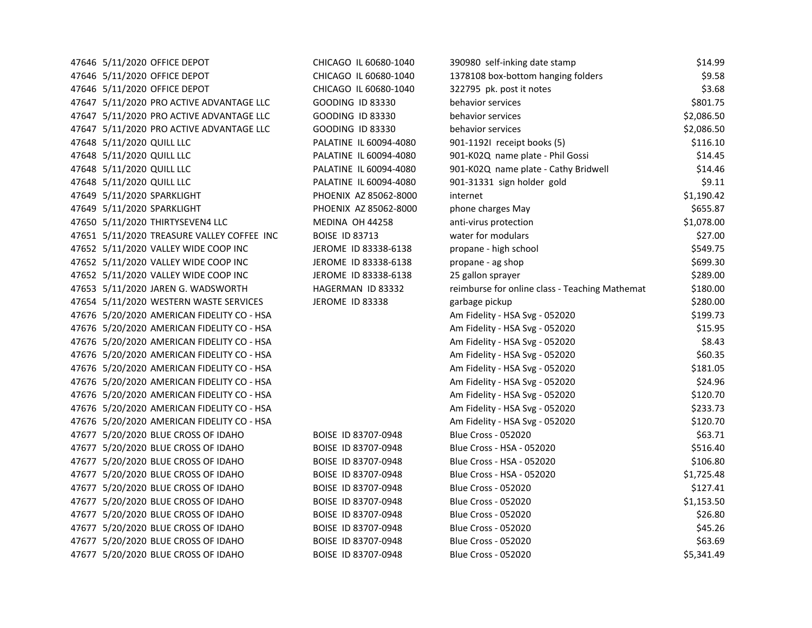| 47646 5/11/2020 OFFICE DEPOT               | CHICAGO IL 60680-1040   | 390980 self-inking date stamp                  | \$14.99    |
|--------------------------------------------|-------------------------|------------------------------------------------|------------|
| 47646 5/11/2020 OFFICE DEPOT               | CHICAGO IL 60680-1040   | 1378108 box-bottom hanging folders             | \$9.58     |
| 47646 5/11/2020 OFFICE DEPOT               | CHICAGO IL 60680-1040   | 322795 pk. post it notes                       | \$3.68     |
| 47647 5/11/2020 PRO ACTIVE ADVANTAGE LLC   | <b>GOODING ID 83330</b> | behavior services                              | \$801.75   |
| 47647 5/11/2020 PRO ACTIVE ADVANTAGE LLC   | <b>GOODING ID 83330</b> | behavior services                              | \$2,086.50 |
| 47647 5/11/2020 PRO ACTIVE ADVANTAGE LLC   | <b>GOODING ID 83330</b> | behavior services                              | \$2,086.50 |
| 47648 5/11/2020 QUILL LLC                  | PALATINE IL 60094-4080  | 901-11921 receipt books (5)                    | \$116.10   |
| 47648 5/11/2020 QUILL LLC                  | PALATINE IL 60094-4080  | 901-K02Q name plate - Phil Gossi               | \$14.45    |
| 47648 5/11/2020 QUILL LLC                  | PALATINE IL 60094-4080  | 901-K02Q name plate - Cathy Bridwell           | \$14.46    |
| 47648 5/11/2020 QUILL LLC                  | PALATINE IL 60094-4080  | 901-31331 sign holder gold                     | \$9.11     |
| 47649 5/11/2020 SPARKLIGHT                 | PHOENIX AZ 85062-8000   | internet                                       | \$1,190.42 |
| 47649 5/11/2020 SPARKLIGHT                 | PHOENIX AZ 85062-8000   | phone charges May                              | \$655.87   |
| 47650 5/11/2020 THIRTYSEVEN4 LLC           | MEDINA OH 44258         | anti-virus protection                          | \$1,078.00 |
| 47651 5/11/2020 TREASURE VALLEY COFFEE INC | <b>BOISE ID 83713</b>   | water for modulars                             | \$27.00    |
| 47652 5/11/2020 VALLEY WIDE COOP INC       | JEROME ID 83338-6138    | propane - high school                          | \$549.75   |
| 47652 5/11/2020 VALLEY WIDE COOP INC       | JEROME ID 83338-6138    | propane - ag shop                              | \$699.30   |
| 47652 5/11/2020 VALLEY WIDE COOP INC       | JEROME ID 83338-6138    | 25 gallon sprayer                              | \$289.00   |
| 47653 5/11/2020 JAREN G. WADSWORTH         | HAGERMAN ID 83332       | reimburse for online class - Teaching Mathemat | \$180.00   |
| 47654 5/11/2020 WESTERN WASTE SERVICES     | <b>JEROME ID 83338</b>  | garbage pickup                                 | \$280.00   |
| 47676 5/20/2020 AMERICAN FIDELITY CO - HSA |                         | Am Fidelity - HSA Svg - 052020                 | \$199.73   |
| 47676 5/20/2020 AMERICAN FIDELITY CO - HSA |                         | Am Fidelity - HSA Svg - 052020                 | \$15.95    |
| 47676 5/20/2020 AMERICAN FIDELITY CO - HSA |                         | Am Fidelity - HSA Svg - 052020                 | \$8.43     |
| 47676 5/20/2020 AMERICAN FIDELITY CO - HSA |                         | Am Fidelity - HSA Svg - 052020                 | \$60.35    |
| 47676 5/20/2020 AMERICAN FIDELITY CO - HSA |                         | Am Fidelity - HSA Svg - 052020                 | \$181.05   |
| 47676 5/20/2020 AMERICAN FIDELITY CO - HSA |                         | Am Fidelity - HSA Svg - 052020                 | \$24.96    |
| 47676 5/20/2020 AMERICAN FIDELITY CO - HSA |                         | Am Fidelity - HSA Svg - 052020                 | \$120.70   |
| 47676 5/20/2020 AMERICAN FIDELITY CO - HSA |                         | Am Fidelity - HSA Svg - 052020                 | \$233.73   |
| 47676 5/20/2020 AMERICAN FIDELITY CO - HSA |                         | Am Fidelity - HSA Svg - 052020                 | \$120.70   |
| 47677 5/20/2020 BLUE CROSS OF IDAHO        | BOISE ID 83707-0948     | <b>Blue Cross - 052020</b>                     | \$63.71    |
| 47677 5/20/2020 BLUE CROSS OF IDAHO        | BOISE ID 83707-0948     | Blue Cross - HSA - 052020                      | \$516.40   |
| 47677 5/20/2020 BLUE CROSS OF IDAHO        | BOISE ID 83707-0948     | Blue Cross - HSA - 052020                      | \$106.80   |
| 47677 5/20/2020 BLUE CROSS OF IDAHO        | BOISE ID 83707-0948     | Blue Cross - HSA - 052020                      | \$1,725.48 |
| 47677 5/20/2020 BLUE CROSS OF IDAHO        | BOISE ID 83707-0948     | <b>Blue Cross - 052020</b>                     | \$127.41   |
| 47677 5/20/2020 BLUE CROSS OF IDAHO        | BOISE ID 83707-0948     | <b>Blue Cross - 052020</b>                     | \$1,153.50 |
| 47677 5/20/2020 BLUE CROSS OF IDAHO        | BOISE ID 83707-0948     | <b>Blue Cross - 052020</b>                     | \$26.80    |
| 47677 5/20/2020 BLUE CROSS OF IDAHO        | BOISE ID 83707-0948     | <b>Blue Cross - 052020</b>                     | \$45.26    |
| 47677 5/20/2020 BLUE CROSS OF IDAHO        | BOISE ID 83707-0948     | <b>Blue Cross - 052020</b>                     | \$63.69    |
| 47677 5/20/2020 BLUE CROSS OF IDAHO        | BOISE ID 83707-0948     | <b>Blue Cross - 052020</b>                     | \$5,341.49 |
|                                            |                         |                                                |            |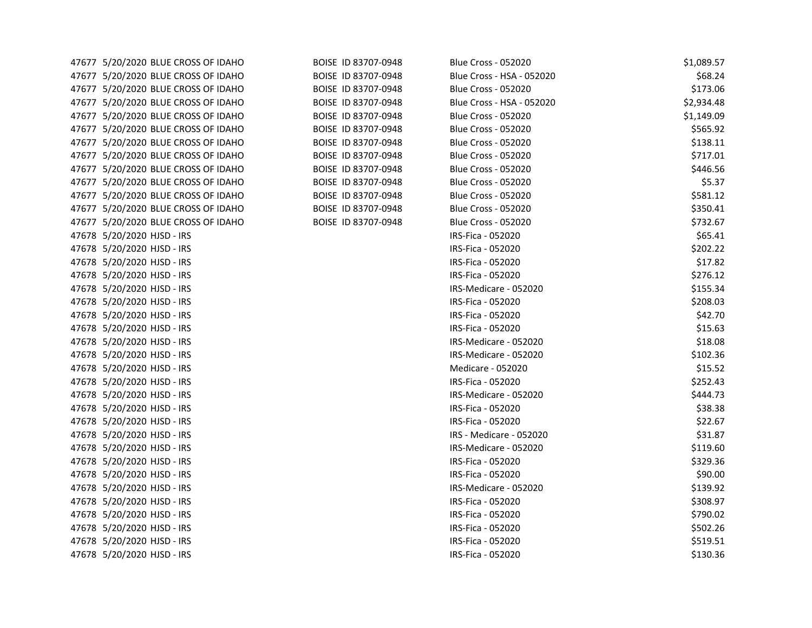| 47677 5/20/2020 BLUE CROSS OF IDAHO | BOISE ID 83707-0948 | <b>Blue Cross - 052020</b> | \$1,089.57 |
|-------------------------------------|---------------------|----------------------------|------------|
| 47677 5/20/2020 BLUE CROSS OF IDAHO | BOISE ID 83707-0948 | Blue Cross - HSA - 052020  | \$68.24    |
| 47677 5/20/2020 BLUE CROSS OF IDAHO | BOISE ID 83707-0948 | <b>Blue Cross - 052020</b> | \$173.06   |
| 47677 5/20/2020 BLUE CROSS OF IDAHO | BOISE ID 83707-0948 | Blue Cross - HSA - 052020  | \$2,934.48 |
| 47677 5/20/2020 BLUE CROSS OF IDAHO | BOISE ID 83707-0948 | <b>Blue Cross - 052020</b> | \$1,149.09 |
| 47677 5/20/2020 BLUE CROSS OF IDAHO | BOISE ID 83707-0948 | <b>Blue Cross - 052020</b> | \$565.92   |
| 47677 5/20/2020 BLUE CROSS OF IDAHO | BOISE ID 83707-0948 | <b>Blue Cross - 052020</b> | \$138.11   |
| 47677 5/20/2020 BLUE CROSS OF IDAHO | BOISE ID 83707-0948 | <b>Blue Cross - 052020</b> | \$717.01   |
| 47677 5/20/2020 BLUE CROSS OF IDAHO | BOISE ID 83707-0948 | <b>Blue Cross - 052020</b> | \$446.56   |
| 47677 5/20/2020 BLUE CROSS OF IDAHO | BOISE ID 83707-0948 | <b>Blue Cross - 052020</b> | \$5.37     |
| 47677 5/20/2020 BLUE CROSS OF IDAHO | BOISE ID 83707-0948 | <b>Blue Cross - 052020</b> | \$581.12   |
| 47677 5/20/2020 BLUE CROSS OF IDAHO | BOISE ID 83707-0948 | <b>Blue Cross - 052020</b> | \$350.41   |
| 47677 5/20/2020 BLUE CROSS OF IDAHO | BOISE ID 83707-0948 | <b>Blue Cross - 052020</b> | \$732.67   |
| 47678 5/20/2020 HJSD - IRS          |                     | IRS-Fica - 052020          | \$65.41    |
| 47678 5/20/2020 HJSD - IRS          |                     | IRS-Fica - 052020          | \$202.22   |
| 47678 5/20/2020 HJSD - IRS          |                     | IRS-Fica - 052020          | \$17.82    |
| 47678 5/20/2020 HJSD - IRS          |                     | IRS-Fica - 052020          | \$276.12   |
| 47678 5/20/2020 HJSD - IRS          |                     | IRS-Medicare - 052020      | \$155.34   |
| 47678 5/20/2020 HJSD - IRS          |                     | IRS-Fica - 052020          | \$208.03   |
| 47678 5/20/2020 HJSD - IRS          |                     | IRS-Fica - 052020          | \$42.70    |
| 47678 5/20/2020 HJSD - IRS          |                     | IRS-Fica - 052020          | \$15.63    |
| 47678 5/20/2020 HJSD - IRS          |                     | IRS-Medicare - 052020      | \$18.08    |
| 47678 5/20/2020 HJSD - IRS          |                     | IRS-Medicare - 052020      | \$102.36   |
| 47678 5/20/2020 HJSD - IRS          |                     | Medicare - 052020          | \$15.52    |
| 47678 5/20/2020 HJSD - IRS          |                     | IRS-Fica - 052020          | \$252.43   |
| 47678 5/20/2020 HJSD - IRS          |                     | IRS-Medicare - 052020      | \$444.73   |
| 47678 5/20/2020 HJSD - IRS          |                     | IRS-Fica - 052020          | \$38.38    |
| 47678 5/20/2020 HJSD - IRS          |                     | IRS-Fica - 052020          | \$22.67    |
| 47678 5/20/2020 HJSD - IRS          |                     | IRS - Medicare - 052020    | \$31.87    |
| 47678 5/20/2020 HJSD - IRS          |                     | IRS-Medicare - 052020      | \$119.60   |
| 47678 5/20/2020 HJSD - IRS          |                     | IRS-Fica - 052020          | \$329.36   |
| 47678 5/20/2020 HJSD - IRS          |                     | IRS-Fica - 052020          | \$90.00    |
| 47678 5/20/2020 HJSD - IRS          |                     | IRS-Medicare - 052020      | \$139.92   |
| 47678 5/20/2020 HJSD - IRS          |                     | IRS-Fica - 052020          | \$308.97   |
| 47678 5/20/2020 HJSD - IRS          |                     | IRS-Fica - 052020          | \$790.02   |
| 47678 5/20/2020 HJSD - IRS          |                     | IRS-Fica - 052020          | \$502.26   |
| 47678 5/20/2020 HJSD - IRS          |                     | IRS-Fica - 052020          | \$519.51   |
| 47678 5/20/2020 HJSD - IRS          |                     | IRS-Fica - 052020          | \$130.36   |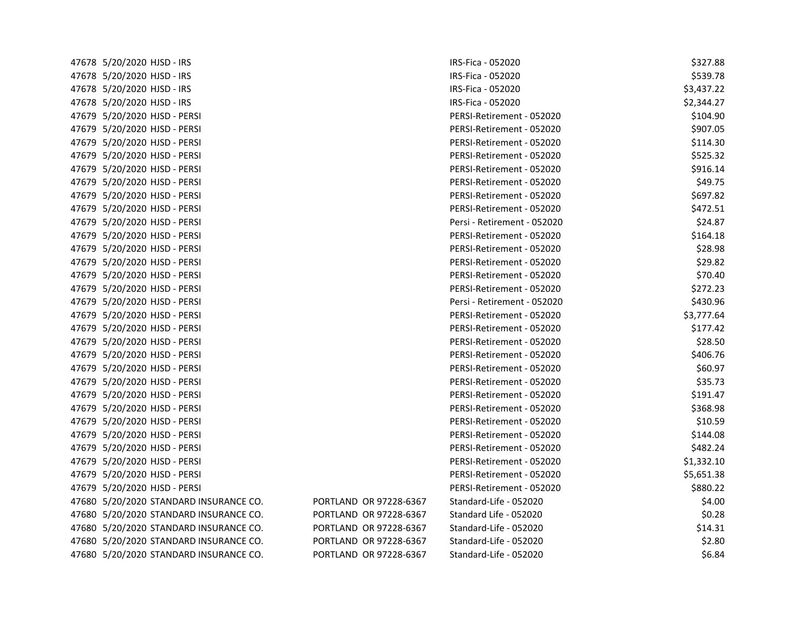| 47678 5/20/2020 HJSD - IRS             |                        | IRS-Fica - 052020           | \$327.88   |
|----------------------------------------|------------------------|-----------------------------|------------|
| 47678 5/20/2020 HJSD - IRS             |                        | IRS-Fica - 052020           | \$539.78   |
| 47678 5/20/2020 HJSD - IRS             |                        | IRS-Fica - 052020           | \$3,437.22 |
| 47678 5/20/2020 HJSD - IRS             |                        | IRS-Fica - 052020           | \$2,344.27 |
| 47679 5/20/2020 HJSD - PERSI           |                        | PERSI-Retirement - 052020   | \$104.90   |
| 47679 5/20/2020 HJSD - PERSI           |                        | PERSI-Retirement - 052020   | \$907.05   |
| 47679 5/20/2020 HJSD - PERSI           |                        | PERSI-Retirement - 052020   | \$114.30   |
| 47679 5/20/2020 HJSD - PERSI           |                        | PERSI-Retirement - 052020   | \$525.32   |
| 47679 5/20/2020 HJSD - PERSI           |                        | PERSI-Retirement - 052020   | \$916.14   |
| 47679 5/20/2020 HJSD - PERSI           |                        | PERSI-Retirement - 052020   | \$49.75    |
| 47679 5/20/2020 HJSD - PERSI           |                        | PERSI-Retirement - 052020   | \$697.82   |
| 47679 5/20/2020 HJSD - PERSI           |                        | PERSI-Retirement - 052020   | \$472.51   |
| 47679 5/20/2020 HJSD - PERSI           |                        | Persi - Retirement - 052020 | \$24.87    |
| 47679 5/20/2020 HJSD - PERSI           |                        | PERSI-Retirement - 052020   | \$164.18   |
| 47679 5/20/2020 HJSD - PERSI           |                        | PERSI-Retirement - 052020   | \$28.98    |
| 47679 5/20/2020 HJSD - PERSI           |                        | PERSI-Retirement - 052020   | \$29.82    |
| 47679 5/20/2020 HJSD - PERSI           |                        | PERSI-Retirement - 052020   | \$70.40    |
| 47679 5/20/2020 HJSD - PERSI           |                        | PERSI-Retirement - 052020   | \$272.23   |
| 47679 5/20/2020 HJSD - PERSI           |                        | Persi - Retirement - 052020 | \$430.96   |
| 47679 5/20/2020 HJSD - PERSI           |                        | PERSI-Retirement - 052020   | \$3,777.64 |
| 47679 5/20/2020 HJSD - PERSI           |                        | PERSI-Retirement - 052020   | \$177.42   |
| 47679 5/20/2020 HJSD - PERSI           |                        | PERSI-Retirement - 052020   | \$28.50    |
| 47679 5/20/2020 HJSD - PERSI           |                        | PERSI-Retirement - 052020   | \$406.76   |
| 47679 5/20/2020 HJSD - PERSI           |                        | PERSI-Retirement - 052020   | \$60.97    |
| 47679 5/20/2020 HJSD - PERSI           |                        | PERSI-Retirement - 052020   | \$35.73    |
| 47679 5/20/2020 HJSD - PERSI           |                        | PERSI-Retirement - 052020   | \$191.47   |
| 47679 5/20/2020 HJSD - PERSI           |                        | PERSI-Retirement - 052020   | \$368.98   |
| 47679 5/20/2020 HJSD - PERSI           |                        | PERSI-Retirement - 052020   | \$10.59    |
| 47679 5/20/2020 HJSD - PERSI           |                        | PERSI-Retirement - 052020   | \$144.08   |
| 47679 5/20/2020 HJSD - PERSI           |                        | PERSI-Retirement - 052020   | \$482.24   |
| 47679 5/20/2020 HJSD - PERSI           |                        | PERSI-Retirement - 052020   | \$1,332.10 |
| 47679 5/20/2020 HJSD - PERSI           |                        | PERSI-Retirement - 052020   | \$5,651.38 |
| 47679 5/20/2020 HJSD - PERSI           |                        | PERSI-Retirement - 052020   | \$880.22   |
| 47680 5/20/2020 STANDARD INSURANCE CO. | PORTLAND OR 97228-6367 | Standard-Life - 052020      | \$4.00     |
| 47680 5/20/2020 STANDARD INSURANCE CO. | PORTLAND OR 97228-6367 | Standard Life - 052020      | \$0.28     |
| 47680 5/20/2020 STANDARD INSURANCE CO. | PORTLAND OR 97228-6367 | Standard-Life - 052020      | \$14.31    |
| 47680 5/20/2020 STANDARD INSURANCE CO. | PORTLAND OR 97228-6367 | Standard-Life - 052020      | \$2.80     |
| 47680 5/20/2020 STANDARD INSURANCE CO. | PORTLAND OR 97228-6367 | Standard-Life - 052020      | \$6.84     |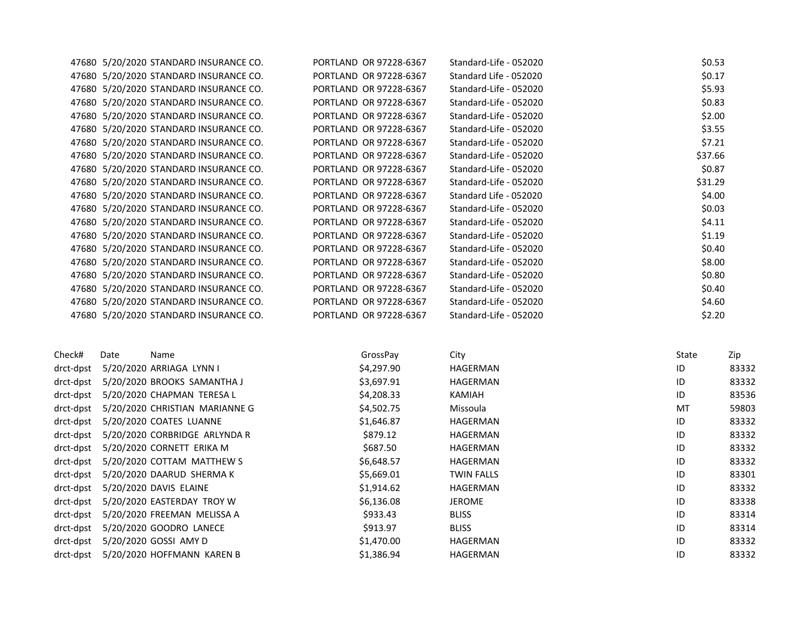| Check# | Date | Name                                   | GrossPay               | City                   | State  | Zip     |  |
|--------|------|----------------------------------------|------------------------|------------------------|--------|---------|--|
|        |      |                                        |                        |                        |        |         |  |
|        |      | 47680 5/20/2020 STANDARD INSURANCE CO. | PORTLAND OR 97228-6367 | Standard-Life - 052020 |        | \$2.20  |  |
|        |      | 47680 5/20/2020 STANDARD INSURANCE CO. | PORTLAND OR 97228-6367 | Standard-Life - 052020 |        | \$4.60  |  |
|        |      | 47680 5/20/2020 STANDARD INSURANCE CO. | PORTLAND OR 97228-6367 | Standard-Life - 052020 |        | \$0.40  |  |
|        |      | 47680 5/20/2020 STANDARD INSURANCE CO. | PORTLAND OR 97228-6367 | Standard-Life - 052020 |        | \$0.80  |  |
|        |      | 47680 5/20/2020 STANDARD INSURANCE CO. | PORTLAND OR 97228-6367 | Standard-Life - 052020 |        | \$8.00  |  |
|        |      | 47680 5/20/2020 STANDARD INSURANCE CO. | PORTLAND OR 97228-6367 | Standard-Life - 052020 |        | \$0.40  |  |
|        |      | 47680 5/20/2020 STANDARD INSURANCE CO. | PORTLAND OR 97228-6367 | Standard-Life - 052020 |        | \$1.19  |  |
|        |      | 47680 5/20/2020 STANDARD INSURANCE CO. | PORTLAND OR 97228-6367 | Standard-Life - 052020 |        | \$4.11  |  |
|        |      | 47680 5/20/2020 STANDARD INSURANCE CO. | PORTLAND OR 97228-6367 | Standard-Life - 052020 |        | \$0.03  |  |
|        |      | 47680 5/20/2020 STANDARD INSURANCE CO. | PORTLAND OR 97228-6367 | Standard Life - 052020 |        | \$4.00  |  |
|        |      | 47680 5/20/2020 STANDARD INSURANCE CO. | PORTLAND OR 97228-6367 | Standard-Life - 052020 |        | \$31.29 |  |
|        |      | 47680 5/20/2020 STANDARD INSURANCE CO. | PORTLAND OR 97228-6367 | Standard-Life - 052020 |        | \$0.87  |  |
|        |      | 47680 5/20/2020 STANDARD INSURANCE CO. | PORTLAND OR 97228-6367 | Standard-Life - 052020 |        | \$37.66 |  |
|        |      | 47680 5/20/2020 STANDARD INSURANCE CO. | PORTLAND OR 97228-6367 | Standard-Life - 052020 |        | \$7.21  |  |
|        |      | 47680 5/20/2020 STANDARD INSURANCE CO. | PORTLAND OR 97228-6367 | Standard-Life - 052020 |        | \$3.55  |  |
|        |      | 47680 5/20/2020 STANDARD INSURANCE CO. | PORTLAND OR 97228-6367 | Standard-Life - 052020 |        | \$2.00  |  |
|        |      | 47680 5/20/2020 STANDARD INSURANCE CO. | PORTLAND OR 97228-6367 | Standard-Life - 052020 |        | \$0.83  |  |
|        |      | 47680 5/20/2020 STANDARD INSURANCE CO. | PORTLAND OR 97228-6367 | Standard-Life - 052020 | \$5.93 |         |  |
|        |      | 47680 5/20/2020 STANDARD INSURANCE CO. | PORTLAND OR 97228-6367 | Standard Life - 052020 |        | \$0.17  |  |
|        |      | 47680 5/20/2020 STANDARD INSURANCE CO. | PORTLAND OR 97228-6367 | Standard-Life - 052020 |        | \$0.53  |  |

| Check#    | Date | Name.                          | GrossPay   | <b>City</b>       | state | ∠ip   |
|-----------|------|--------------------------------|------------|-------------------|-------|-------|
| drct-dpst |      | 5/20/2020 ARRIAGA LYNN I       | \$4,297.90 | HAGERMAN          | ID    | 83332 |
| drct-dpst |      | 5/20/2020 BROOKS SAMANTHA J    | \$3,697.91 | HAGERMAN          | ID    | 83332 |
| drct-dpst |      | 5/20/2020 CHAPMAN TERESA L     | \$4,208.33 | KAMIAH            | ID    | 83536 |
| drct-dpst |      | 5/20/2020 CHRISTIAN MARIANNE G | \$4,502.75 | Missoula          | MT    | 59803 |
| drct-dpst |      | 5/20/2020 COATES LUANNE        | \$1,646.87 | HAGERMAN          | ID    | 83332 |
| drct-dpst |      | 5/20/2020 CORBRIDGE ARLYNDA R  | \$879.12   | HAGERMAN          | ID    | 83332 |
| drct-dpst |      | 5/20/2020 CORNETT ERIKA M      | \$687.50   | HAGERMAN          | ID    | 83332 |
| drct-dpst |      | 5/20/2020 COTTAM MATTHEW S     | \$6,648.57 | HAGERMAN          | ID    | 83332 |
| drct-dpst |      | 5/20/2020 DAARUD SHERMA K      | \$5,669.01 | <b>TWIN FALLS</b> | ID    | 83301 |
| drct-dpst |      | 5/20/2020 DAVIS ELAINE         | \$1,914.62 | HAGERMAN          | ID    | 83332 |
| drct-dpst |      | 5/20/2020 EASTERDAY TROY W     | \$6,136.08 | <b>JEROME</b>     | ID    | 83338 |
| drct-dpst |      | 5/20/2020 FREEMAN MELISSA A    | \$933.43   | <b>BLISS</b>      | ID    | 83314 |
| drct-dpst |      | 5/20/2020 GOODRO LANECE        | \$913.97   | <b>BLISS</b>      | ID    | 83314 |
| drct-dpst |      | 5/20/2020 GOSSI AMY D          | \$1,470.00 | HAGERMAN          | ID    | 83332 |
| drct-dpst |      | 5/20/2020 HOFFMANN KAREN B     | \$1,386.94 | HAGERMAN          | ID    | 83332 |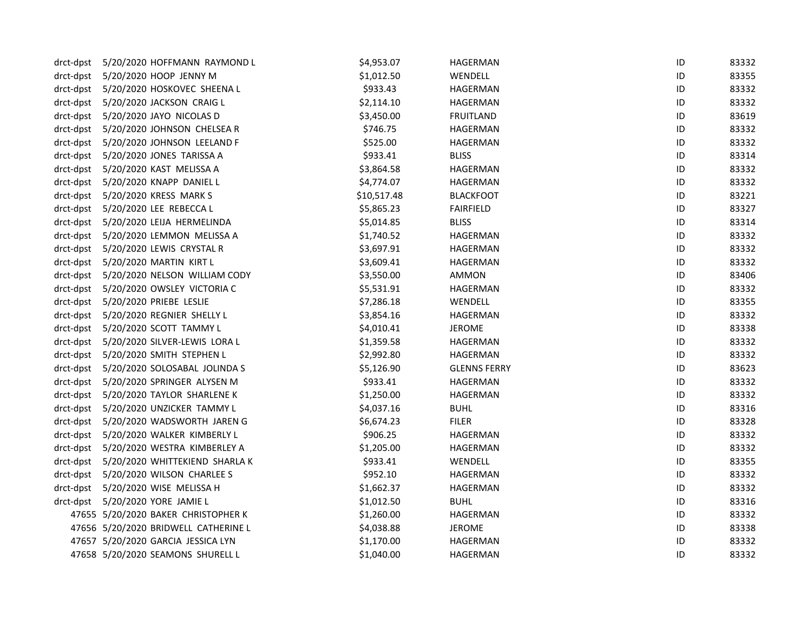| drct-dpst | 5/20/2020 HOFFMANN RAYMOND L             | \$4,953.07  | HAGERMAN            | ID | 83332 |
|-----------|------------------------------------------|-------------|---------------------|----|-------|
|           | drct-dpst 5/20/2020 HOOP JENNY M         | \$1,012.50  | WENDELL             | ID | 83355 |
|           | drct-dpst 5/20/2020 HOSKOVEC SHEENA L    | \$933.43    | HAGERMAN            | ID | 83332 |
|           | drct-dpst 5/20/2020 JACKSON CRAIG L      | \$2,114.10  | HAGERMAN            | ID | 83332 |
|           | drct-dpst 5/20/2020 JAYO NICOLAS D       | \$3,450.00  | <b>FRUITLAND</b>    | ID | 83619 |
|           | drct-dpst 5/20/2020 JOHNSON CHELSEA R    | \$746.75    | HAGERMAN            | ID | 83332 |
|           | drct-dpst 5/20/2020 JOHNSON LEELAND F    | \$525.00    | HAGERMAN            | ID | 83332 |
|           | drct-dpst 5/20/2020 JONES TARISSA A      | \$933.41    | <b>BLISS</b>        | ID | 83314 |
|           | drct-dpst 5/20/2020 KAST MELISSA A       | \$3,864.58  | HAGERMAN            | ID | 83332 |
|           | drct-dpst 5/20/2020 KNAPP DANIEL L       | \$4,774.07  | HAGERMAN            | ID | 83332 |
|           | drct-dpst 5/20/2020 KRESS MARK S         | \$10,517.48 | <b>BLACKFOOT</b>    | ID | 83221 |
|           | drct-dpst 5/20/2020 LEE REBECCA L        | \$5,865.23  | <b>FAIRFIELD</b>    | ID | 83327 |
|           | drct-dpst 5/20/2020 LEIJA HERMELINDA     | \$5,014.85  | <b>BLISS</b>        | ID | 83314 |
|           | drct-dpst 5/20/2020 LEMMON MELISSA A     | \$1,740.52  | HAGERMAN            | ID | 83332 |
|           | drct-dpst 5/20/2020 LEWIS CRYSTAL R      | \$3,697.91  | HAGERMAN            | ID | 83332 |
|           | drct-dpst 5/20/2020 MARTIN KIRT L        | \$3,609.41  | HAGERMAN            | ID | 83332 |
|           | drct-dpst 5/20/2020 NELSON WILLIAM CODY  | \$3,550.00  | AMMON               | ID | 83406 |
|           | drct-dpst 5/20/2020 OWSLEY VICTORIA C    | \$5,531.91  | HAGERMAN            | ID | 83332 |
|           | drct-dpst 5/20/2020 PRIEBE LESLIE        | \$7,286.18  | WENDELL             | ID | 83355 |
|           | drct-dpst 5/20/2020 REGNIER SHELLY L     | \$3,854.16  | HAGERMAN            | ID | 83332 |
|           | drct-dpst 5/20/2020 SCOTT TAMMY L        | \$4,010.41  | JEROME              | ID | 83338 |
|           | drct-dpst 5/20/2020 SILVER-LEWIS LORA L  | \$1,359.58  | HAGERMAN            | ID | 83332 |
|           | drct-dpst 5/20/2020 SMITH STEPHEN L      | \$2,992.80  | HAGERMAN            | ID | 83332 |
|           | drct-dpst 5/20/2020 SOLOSABAL JOLINDA S  | \$5,126.90  | <b>GLENNS FERRY</b> | ID | 83623 |
|           | drct-dpst 5/20/2020 SPRINGER ALYSEN M    | \$933.41    | HAGERMAN            | ID | 83332 |
|           | drct-dpst 5/20/2020 TAYLOR SHARLENE K    | \$1,250.00  | HAGERMAN            | ID | 83332 |
|           | drct-dpst 5/20/2020 UNZICKER TAMMY L     | \$4,037.16  | <b>BUHL</b>         | ID | 83316 |
|           | drct-dpst 5/20/2020 WADSWORTH JAREN G    | \$6,674.23  | <b>FILER</b>        | ID | 83328 |
|           | drct-dpst 5/20/2020 WALKER KIMBERLY L    | \$906.25    | HAGERMAN            | ID | 83332 |
|           | drct-dpst 5/20/2020 WESTRA KIMBERLEY A   | \$1,205.00  | HAGERMAN            | ID | 83332 |
|           | drct-dpst 5/20/2020 WHITTEKIEND SHARLA K | \$933.41    | WENDELL             | ID | 83355 |
|           | drct-dpst 5/20/2020 WILSON CHARLEE S     | \$952.10    | HAGERMAN            | ID | 83332 |
|           | drct-dpst 5/20/2020 WISE MELISSA H       | \$1,662.37  | HAGERMAN            | ID | 83332 |
|           | drct-dpst 5/20/2020 YORE JAMIE L         | \$1,012.50  | <b>BUHL</b>         | ID | 83316 |
|           | 47655 5/20/2020 BAKER CHRISTOPHER K      | \$1,260.00  | HAGERMAN            | ID | 83332 |
|           | 47656 5/20/2020 BRIDWELL CATHERINE L     | \$4,038.88  | <b>JEROME</b>       | ID | 83338 |
|           | 47657 5/20/2020 GARCIA JESSICA LYN       | \$1,170.00  | HAGERMAN            | ID | 83332 |
|           | 47658 5/20/2020 SEAMONS SHURELL L        | \$1,040.00  | <b>HAGERMAN</b>     | ID | 83332 |